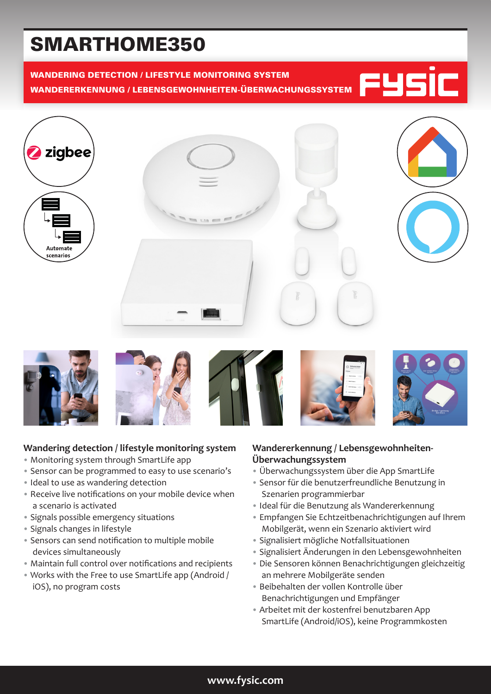# SMARTHOME350

# WANDERING DETECTION / LIFESTYLE MONITORING SYSTEM WANDERERKENNUNG / LEBENSGEWOHNHEITEN-ÜBERWACHUNGSSYSTEM















# **Wandering detection / lifestyle monitoring system**

- Monitoring system through SmartLife app
- Sensor can be programmed to easy to use scenario's
- Ideal to use as wandering detection
- Receive live notifications on your mobile device when a scenario is activated
- Signals possible emergency situations
- Signals changes in lifestyle
- Sensors can send notification to multiple mobile devices simultaneously
- Maintain full control over notifications and recipients
- Works with the Free to use SmartLife app (Android / iOS), no program costs

### **Wandererkennung / Lebensgewohnheiten-Überwachungssystem**

- Überwachungssystem über die App SmartLife
- Sensor für die benutzerfreundliche Benutzung in Szenarien programmierbar
- Ideal für die Benutzung als Wandererkennung
- Empfangen Sie Echtzeitbenachrichtigungen auf Ihrem Mobilgerät, wenn ein Szenario aktiviert wird
- Signalisiert mögliche Notfallsituationen
- Signalisiert Änderungen in den Lebensgewohnheiten
- Die Sensoren können Benachrichtigungen gleichzeitig an mehrere Mobilgeräte senden
- Beibehalten der vollen Kontrolle über Benachrichtigungen und Empfänger
- Arbeitet mit der kostenfrei benutzbaren App SmartLife (Android/iOS), keine Programmkosten

## **www.fysic.com**